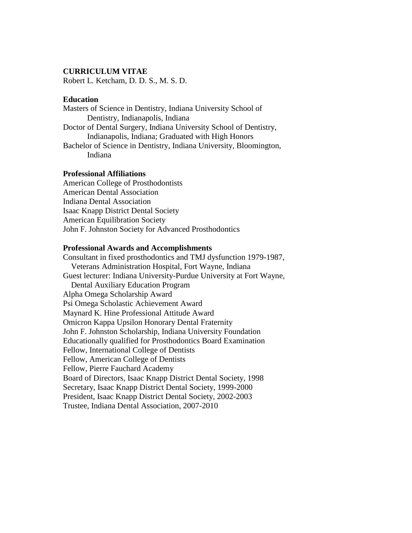### **CURRICULUM VITAE**

Robert L. Ketcham, D. D. S., M. S. D.

#### **Education**

Masters of Science in Dentistry, Indiana University School of Dentistry, Indianapolis, Indiana Doctor of Dental Surgery, Indiana University School of Dentistry, Indianapolis, Indiana; Graduated with High Honors Bachelor of Science in Dentistry, Indiana University, Bloomington, Indiana

### **Professional Affiliations**

American College of Prosthodontists American Dental Association Indiana Dental Association Isaac Knapp District Dental Society American Equilibration Society John F. Johnston Society for Advanced Prosthodontics

#### **Professional Awards and Accomplishments**

Consultant in fixed prosthodontics and TMJ dysfunction 1979-1987, Veterans Administration Hospital, Fort Wayne, Indiana Guest lecturer: Indiana University-Purdue University at Fort Wayne, Dental Auxiliary Education Program Alpha Omega Scholarship Award Psi Omega Scholastic Achievement Award Maynard K. Hine Professional Attitude Award Omicron Kappa Upsilon Honorary Dental Fraternity John F. Johnston Scholarship, Indiana University Foundation Educationally qualified for Prosthodontics Board Examination Fellow, International College of Dentists Fellow, American College of Dentists Fellow, Pierre Fauchard Academy Board of Directors, Isaac Knapp District Dental Society, 1998 Secretary, Isaac Knapp District Dental Society, 1999-2000 President, Isaac Knapp District Dental Society, 2002-2003 Trustee, Indiana Dental Association, 2007-2010